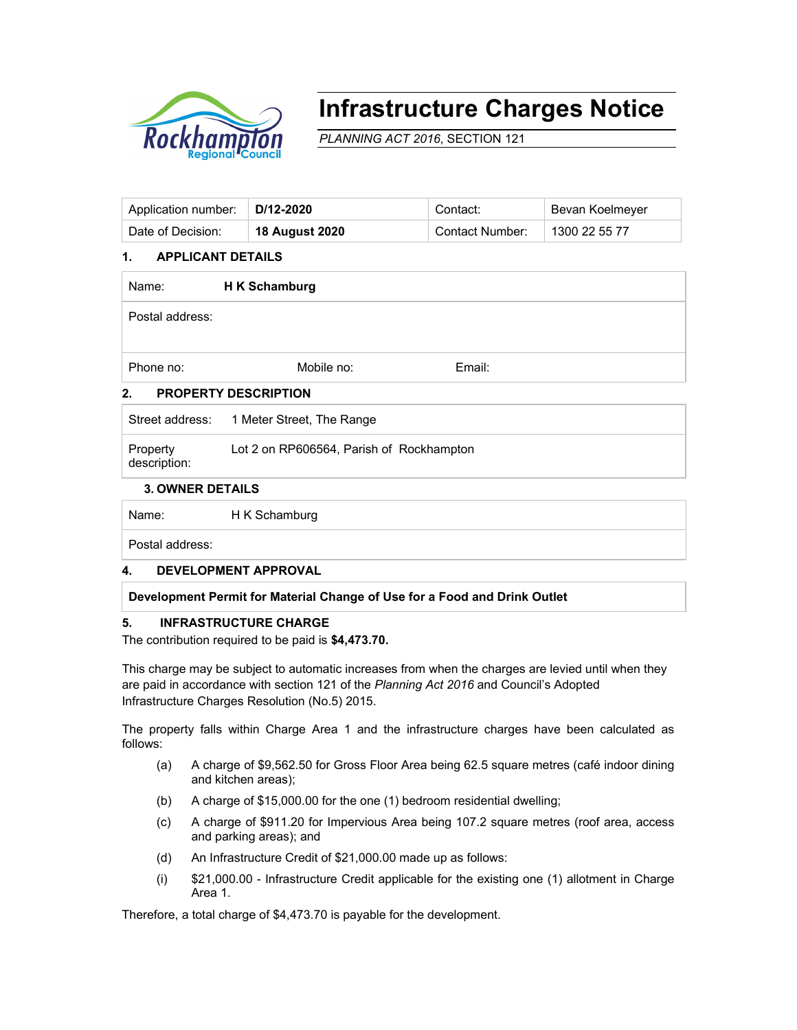

# **Infrastructure Charges Notice**

*PLANNING ACT 2016*, SECTION 121

| Application number:   D/12-2020 |                | Contact:        | Bevan Koelmeyer |
|---------------------------------|----------------|-----------------|-----------------|
| Date of Decision:               | 18 August 2020 | Contact Number: | 1300 22 55 77   |

# **1. APPLICANT DETAILS**

| Name:                            | H K Schamburg |        |  |  |  |
|----------------------------------|---------------|--------|--|--|--|
| Postal address:                  |               |        |  |  |  |
| Phone no:                        | Mobile no:    | Email: |  |  |  |
| <b>DDADEDTV NECADIDTIAN</b><br>C |               |        |  |  |  |

# **2. PROPERTY DESCRIPTION**

|                          | Street address: 1 Meter Street, The Range |
|--------------------------|-------------------------------------------|
| Property<br>description: | Lot 2 on RP606564, Parish of Rockhampton  |

#### **3. OWNER DETAILS**

Name: H K Schamburg

Postal address:

# **4. DEVELOPMENT APPROVAL**

# **Development Permit for Material Change of Use for a Food and Drink Outlet**

# **5. INFRASTRUCTURE CHARGE**

The contribution required to be paid is **\$4,473.70.**

This charge may be subject to automatic increases from when the charges are levied until when they are paid in accordance with section 121 of the *Planning Act 2016* and Council's Adopted Infrastructure Charges Resolution (No.5) 2015.

The property falls within Charge Area 1 and the infrastructure charges have been calculated as follows:

- (a) A charge of \$9,562.50 for Gross Floor Area being 62.5 square metres (café indoor dining and kitchen areas);
- (b) A charge of \$15,000.00 for the one (1) bedroom residential dwelling;
- (c) A charge of \$911.20 for Impervious Area being 107.2 square metres (roof area, access and parking areas); and
- (d) An Infrastructure Credit of \$21,000.00 made up as follows:
- (i) \$21,000.00 Infrastructure Credit applicable for the existing one (1) allotment in Charge Area 1.

Therefore, a total charge of \$4,473.70 is payable for the development.